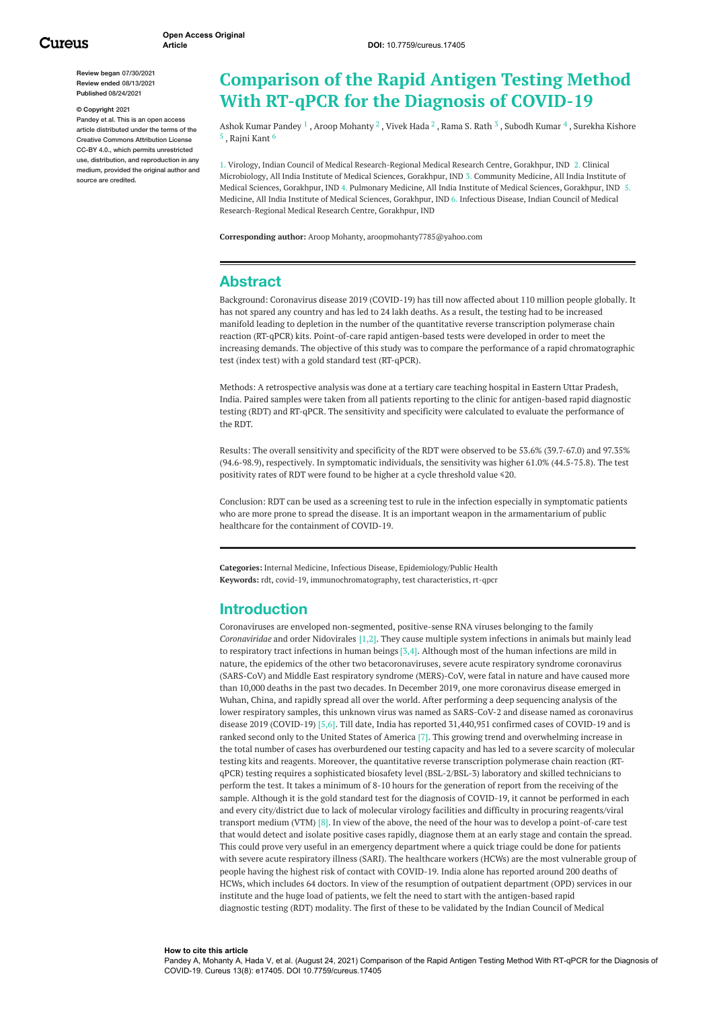**Review began** 07/30/2021 **Review ended** 08/13/2021 **Published** 08/24/2021

#### **© Copyright** 2021

Pandey et al. This is an open access article distributed under the terms of the Creative Commons Attribution License CC-BY 4.0., which permits unrestricted use, distribution, and reproduction in any medium, provided the original author and source are credited.

# **Comparison of the Rapid Antigen Testing Method With RT-qPCR for the Diagnosis of COVID-19**

Ashok Kumar [Pandey](https://www.cureus.com/users/267688-ashok-pandey)  $^1$  , Aroop [Mohanty](https://www.cureus.com/users/119582-aroop-mohanty)  $^2$  , [Vivek](https://www.cureus.com/users/192808-vivek-hada) Hada  $^2$  , [Rama](https://www.cureus.com/users/174705-rama-s-rath) S. Rath  $^3$  , [Subodh](https://www.cureus.com/users/119583-subodh-kumar) Kumar  $^4$  , Surekha Kishore  $^5$  , [Rajni](https://www.cureus.com/users/267690-rajni-kant) Kant  $^6$ 

1. Virology, Indian Council of Medical Research-Regional Medical Research Centre, Gorakhpur, IND 2. Clinical Microbiology, All India Institute of Medical Sciences, Gorakhpur, IND 3. Community Medicine, All India Institute of Medical Sciences, Gorakhpur, IND 4. Pulmonary Medicine, All India Institute of Medical Sciences, Gorakhpur, IND 5. Medicine, All India Institute of Medical Sciences, Gorakhpur, IND 6. Infectious Disease, Indian Council of Medical Research-Regional Medical Research Centre, Gorakhpur, IND

**Corresponding author:** Aroop Mohanty, aroopmohanty7785@yahoo.com

# **Abstract**

Background: Coronavirus disease 2019 (COVID-19) has till now affected about 110 million people globally. It has not spared any country and has led to 24 lakh deaths. As a result, the testing had to be increased manifold leading to depletion in the number of the quantitative reverse transcription polymerase chain reaction (RT-qPCR) kits. Point-of-care rapid antigen-based tests were developed in order to meet the increasing demands. The objective of this study was to compare the performance of a rapid chromatographic test (index test) with a gold standard test (RT-qPCR).

Methods: A retrospective analysis was done at a tertiary care teaching hospital in Eastern Uttar Pradesh, India. Paired samples were taken from all patients reporting to the clinic for antigen-based rapid diagnostic testing (RDT) and RT-qPCR. The sensitivity and specificity were calculated to evaluate the performance of the RDT.

Results: The overall sensitivity and specificity of the RDT were observed to be 53.6% (39.7-67.0) and 97.35% (94.6-98.9), respectively. In symptomatic individuals, the sensitivity was higher 61.0% (44.5-75.8). The test positivity rates of RDT were found to be higher at a cycle threshold value ≤20.

Conclusion: RDT can be used as a screening test to rule in the infection especially in symptomatic patients who are more prone to spread the disease. It is an important weapon in the armamentarium of public healthcare for the containment of COVID-19.

**Categories:** Internal Medicine, Infectious Disease, Epidemiology/Public Health **Keywords:** rdt, covid-19, immunochromatography, test characteristics, rt-qpcr

# **Introduction**

Coronaviruses are enveloped non-segmented, positive-sense RNA viruses belonging to the family *Coronaviridae* and order Nidovirales [1,2]. They cause multiple system infections in animals but mainly lead to respiratory tract infections in human beings [3,4]. Although most of the human infections are mild in nature, the epidemics of the other two betacoronaviruses, severe acute respiratory syndrome coronavirus (SARS-CoV) and Middle East respiratory syndrome (MERS)-CoV, were fatal in nature and have caused more than 10,000 deaths in the past two decades. In December 2019, one more coronavirus disease emerged in Wuhan, China, and rapidly spread all over the world. After performing a deep sequencing analysis of the lower respiratory samples, this unknown virus was named as SARS-CoV-2 and disease named as coronavirus disease 2019 (COVID-19) [5,6]. Till date, India has reported 31,440,951 confirmed cases of COVID-19 and is ranked second only to the United States of America [7]. This growing trend and overwhelming increase in the total number of cases has overburdened our testing capacity and has led to a severe scarcity of molecular testing kits and reagents. Moreover, the quantitative reverse transcription polymerase chain reaction (RTqPCR) testing requires a sophisticated biosafety level (BSL-2/BSL-3) laboratory and skilled technicians to perform the test. It takes a minimum of 8-10 hours for the generation of report from the receiving of the sample. Although it is the gold standard test for the diagnosis of COVID-19, it cannot be performed in each and every city/district due to lack of molecular virology facilities and difficulty in procuring reagents/viral transport medium (VTM) [8]. In view of the above, the need of the hour was to develop a point-of-care test that would detect and isolate positive cases rapidly, diagnose them at an early stage and contain the spread. This could prove very useful in an emergency department where a quick triage could be done for patients with severe acute respiratory illness (SARI). The healthcare workers (HCWs) are the most vulnerable group of people having the highest risk of contact with COVID-19. India alone has reported around 200 deaths of HCWs, which includes 64 doctors. In view of the resumption of outpatient department (OPD) services in our institute and the huge load of patients, we felt the need to start with the antigen-based rapid diagnostic testing (RDT) modality. The first of these to be validated by the Indian Council of Medical

#### **How to cite this article**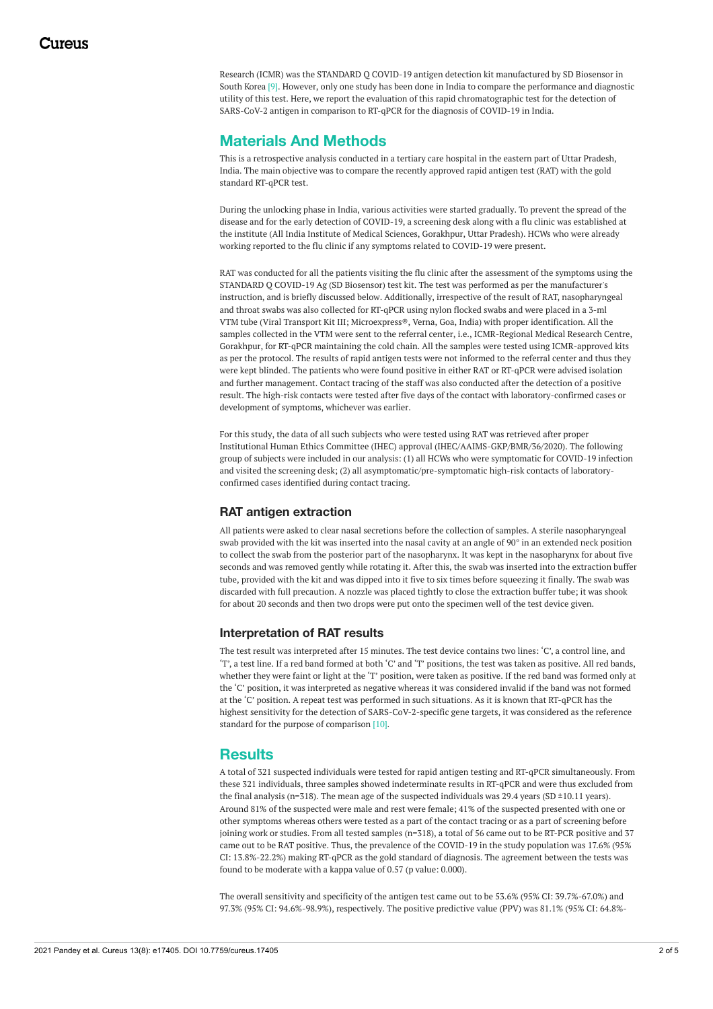Research (ICMR) was the STANDARD Q COVID-19 antigen detection kit manufactured by SD Biosensor in South Korea [9]. However, only one study has been done in India to compare the performance and diagnostic utility of this test. Here, we report the evaluation of this rapid chromatographic test for the detection of SARS-CoV-2 antigen in comparison to RT-qPCR for the diagnosis of COVID-19 in India.

# **Materials And Methods**

This is a retrospective analysis conducted in a tertiary care hospital in the eastern part of Uttar Pradesh, India. The main objective was to compare the recently approved rapid antigen test (RAT) with the gold standard RT-qPCR test.

During the unlocking phase in India, various activities were started gradually. To prevent the spread of the disease and for the early detection of COVID-19, a screening desk along with a flu clinic was established at the institute (All India Institute of Medical Sciences, Gorakhpur, Uttar Pradesh). HCWs who were already working reported to the flu clinic if any symptoms related to COVID-19 were present.

RAT was conducted for all the patients visiting the flu clinic after the assessment of the symptoms using the STANDARD Q COVID-19 Ag (SD Biosensor) test kit. The test was performed as per the manufacturer's instruction, and is briefly discussed below. Additionally, irrespective of the result of RAT, nasopharyngeal and throat swabs was also collected for RT-qPCR using nylon flocked swabs and were placed in a 3-ml VTM tube (Viral Transport Kit III; Microexpress®, Verna, Goa, India) with proper identification. All the samples collected in the VTM were sent to the referral center, i.e., ICMR-Regional Medical Research Centre, Gorakhpur, for RT-qPCR maintaining the cold chain. All the samples were tested using ICMR-approved kits as per the protocol. The results of rapid antigen tests were not informed to the referral center and thus they were kept blinded. The patients who were found positive in either RAT or RT-qPCR were advised isolation and further management. Contact tracing of the staff was also conducted after the detection of a positive result. The high-risk contacts were tested after five days of the contact with laboratory-confirmed cases or development of symptoms, whichever was earlier.

For this study, the data of all such subjects who were tested using RAT was retrieved after proper Institutional Human Ethics Committee (IHEC) approval (IHEC/AAIMS-GKP/BMR/36/2020). The following group of subjects were included in our analysis: (1) all HCWs who were symptomatic for COVID-19 infection and visited the screening desk; (2) all asymptomatic/pre-symptomatic high-risk contacts of laboratoryconfirmed cases identified during contact tracing.

# **RAT antigen extraction**

All patients were asked to clear nasal secretions before the collection of samples. A sterile nasopharyngeal swab provided with the kit was inserted into the nasal cavity at an angle of 90° in an extended neck position to collect the swab from the posterior part of the nasopharynx. It was kept in the nasopharynx for about five seconds and was removed gently while rotating it. After this, the swab was inserted into the extraction buffer tube, provided with the kit and was dipped into it five to six times before squeezing it finally. The swab was discarded with full precaution. A nozzle was placed tightly to close the extraction buffer tube; it was shook for about 20 seconds and then two drops were put onto the specimen well of the test device given.

### **Interpretation of RAT results**

The test result was interpreted after 15 minutes. The test device contains two lines: 'C', a control line, and 'T', a test line. If a red band formed at both 'C' and 'T' positions, the test was taken as positive. All red bands, whether they were faint or light at the 'T' position, were taken as positive. If the red band was formed only at the 'C' position, it was interpreted as negative whereas it was considered invalid if the band was not formed at the 'C' position. A repeat test was performed in such situations. As it is known that RT-qPCR has the highest sensitivity for the detection of SARS-CoV-2-specific gene targets, it was considered as the reference standard for the purpose of comparison [10].

# **Results**

A total of 321 suspected individuals were tested for rapid antigen testing and RT-qPCR simultaneously. From these 321 individuals, three samples showed indeterminate results in RT-qPCR and were thus excluded from the final analysis (n=318). The mean age of the suspected individuals was 29.4 years (SD  $\pm$ 10.11 years). Around 81% of the suspected were male and rest were female; 41% of the suspected presented with one or other symptoms whereas others were tested as a part of the contact tracing or as a part of screening before joining work or studies. From all tested samples (n=318), a total of 56 came out to be RT-PCR positive and 37 came out to be RAT positive. Thus, the prevalence of the COVID-19 in the study population was 17.6% (95% CI: 13.8%-22.2%) making RT-qPCR as the gold standard of diagnosis. The agreement between the tests was found to be moderate with a kappa value of 0.57 (p value: 0.000).

The overall sensitivity and specificity of the antigen test came out to be 53.6% (95% CI: 39.7%-67.0%) and 97.3% (95% CI: 94.6%-98.9%), respectively. The positive predictive value (PPV) was 81.1% (95% CI: 64.8%-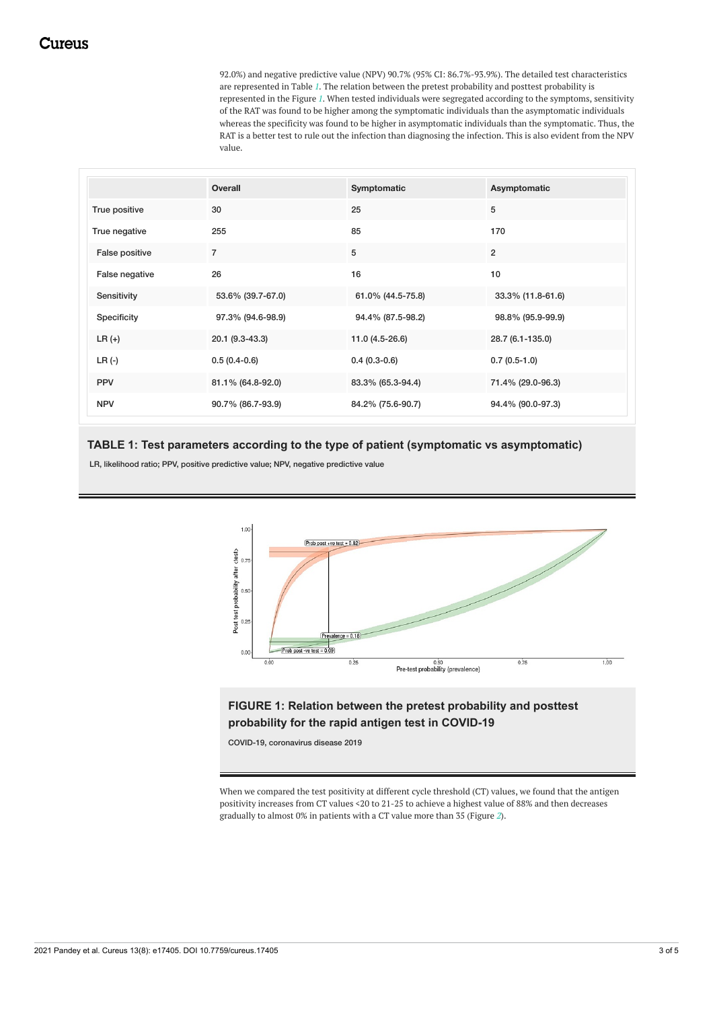92.0%) and negative predictive value (NPV) 90.7% (95% CI: 86.7%-93.9%). The detailed test characteristics are represented in Table *[1](#page-2-0)*. The relation between the pretest probability and posttest probability is represented in the Figure *[1](#page-2-1)*. When tested individuals were segregated according to the symptoms, sensitivity of the RAT was found to be higher among the symptomatic individuals than the asymptomatic individuals whereas the specificity was found to be higher in asymptomatic individuals than the symptomatic. Thus, the RAT is a better test to rule out the infection than diagnosing the infection. This is also evident from the NPV value.

<span id="page-2-0"></span>

|                | Overall           | Symptomatic       | Asymptomatic      |
|----------------|-------------------|-------------------|-------------------|
| True positive  | 30                | 25                | 5                 |
| True negative  | 255               | 85                | 170               |
| False positive | $\overline{7}$    | 5                 | $\overline{2}$    |
| False negative | 26                | 16                | 10                |
| Sensitivity    | 53.6% (39.7-67.0) | 61.0% (44.5-75.8) | 33.3% (11.8-61.6) |
| Specificity    | 97.3% (94.6-98.9) | 94.4% (87.5-98.2) | 98.8% (95.9-99.9) |
| $LR (+)$       | 20.1 (9.3-43.3)   | $11.0(4.5-26.6)$  | 28.7 (6.1-135.0)  |
| $LR$ (-)       | $0.5(0.4-0.6)$    | $0.4(0.3-0.6)$    | $0.7(0.5-1.0)$    |
| <b>PPV</b>     | 81.1% (64.8-92.0) | 83.3% (65.3-94.4) | 71.4% (29.0-96.3) |
| <b>NPV</b>     | 90.7% (86.7-93.9) | 84.2% (75.6-90.7) | 94.4% (90.0-97.3) |

### **TABLE 1: Test parameters according to the type of patient (symptomatic vs asymptomatic)**

LR, likelihood ratio; PPV, positive predictive value; NPV, negative predictive value

<span id="page-2-1"></span>

# **FIGURE 1: Relation between the pretest probability and posttest probability for the rapid antigen test in COVID-19**

COVID-19, coronavirus disease 2019

When we compared the test positivity at different cycle threshold (CT) values, we found that the antigen positivity increases from CT values <20 to 21-25 to achieve a highest value of 88% and then decreases gradually to almost 0% in patients with a CT value more than 35 (Figure *[2](#page-3-0)*).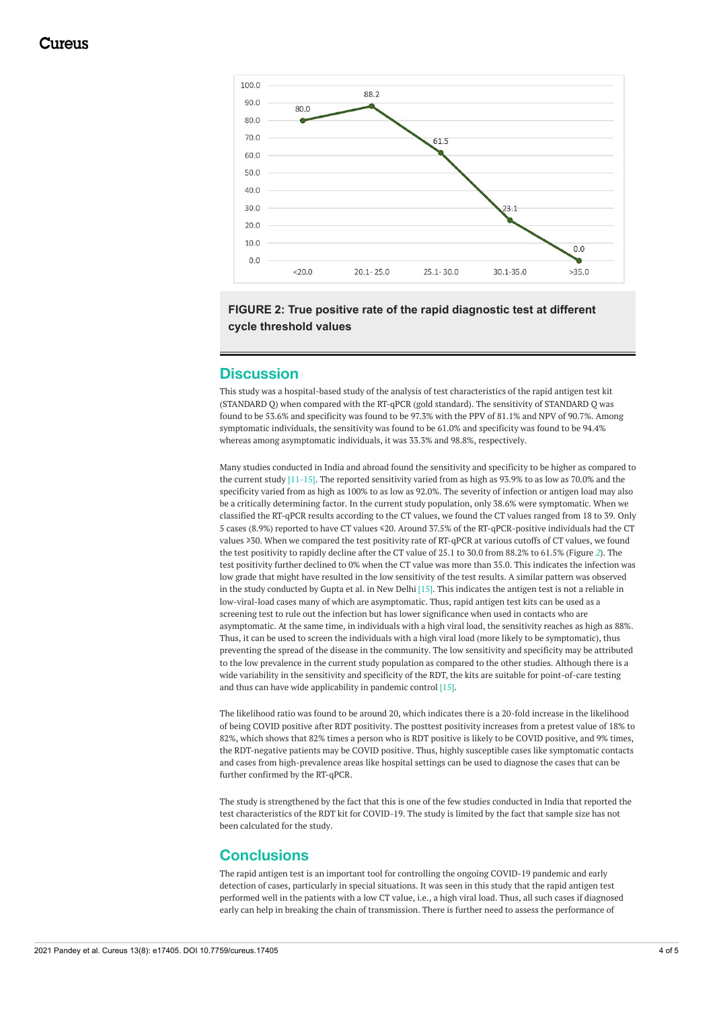<span id="page-3-0"></span>

# **FIGURE 2: True positive rate of the rapid diagnostic test at different cycle threshold values**

# **Discussion**

This study was a hospital-based study of the analysis of test characteristics of the rapid antigen test kit (STANDARD Q) when compared with the RT-qPCR (gold standard). The sensitivity of STANDARD Q was found to be 53.6% and specificity was found to be 97.3% with the PPV of 81.1% and NPV of 90.7%. Among symptomatic individuals, the sensitivity was found to be 61.0% and specificity was found to be 94.4% whereas among asymptomatic individuals, it was 33.3% and 98.8%, respectively.

Many studies conducted in India and abroad found the sensitivity and specificity to be higher as compared to the current study [11-15]. The reported sensitivity varied from as high as 93.9% to as low as 70.0% and the specificity varied from as high as 100% to as low as 92.0%. The severity of infection or antigen load may also be a critically determining factor. In the current study population, only 38.6% were symptomatic. When we classified the RT-qPCR results according to the CT values, we found the CT values ranged from 18 to 39. Only 5 cases (8.9%) reported to have CT values ≤20. Around 37.5% of the RT-qPCR-positive individuals had the CT values ≥30. When we compared the test positivity rate of RT-qPCR at various cutoffs of CT values, we found the test positivity to rapidly decline after the CT value of 25.1 to 30.0 from 88.2% to 61.5% (Figure *[2](#page-3-0)*). The test positivity further declined to 0% when the CT value was more than 35.0. This indicates the infection was low grade that might have resulted in the low sensitivity of the test results. A similar pattern was observed in the study conducted by Gupta et al. in New Delhi [15]. This indicates the antigen test is not a reliable in low-viral-load cases many of which are asymptomatic. Thus, rapid antigen test kits can be used as a screening test to rule out the infection but has lower significance when used in contacts who are asymptomatic. At the same time, in individuals with a high viral load, the sensitivity reaches as high as 88%. Thus, it can be used to screen the individuals with a high viral load (more likely to be symptomatic), thus preventing the spread of the disease in the community. The low sensitivity and specificity may be attributed to the low prevalence in the current study population as compared to the other studies. Although there is a wide variability in the sensitivity and specificity of the RDT, the kits are suitable for point-of-care testing and thus can have wide applicability in pandemic control [15].

The likelihood ratio was found to be around 20, which indicates there is a 20-fold increase in the likelihood of being COVID positive after RDT positivity. The posttest positivity increases from a pretest value of 18% to 82%, which shows that 82% times a person who is RDT positive is likely to be COVID positive, and 9% times, the RDT-negative patients may be COVID positive. Thus, highly susceptible cases like symptomatic contacts and cases from high-prevalence areas like hospital settings can be used to diagnose the cases that can be further confirmed by the RT-qPCR.

The study is strengthened by the fact that this is one of the few studies conducted in India that reported the test characteristics of the RDT kit for COVID-19. The study is limited by the fact that sample size has not been calculated for the study.

# **Conclusions**

The rapid antigen test is an important tool for controlling the ongoing COVID-19 pandemic and early detection of cases, particularly in special situations. It was seen in this study that the rapid antigen test performed well in the patients with a low CT value, i.e., a high viral load. Thus, all such cases if diagnosed early can help in breaking the chain of transmission. There is further need to assess the performance of